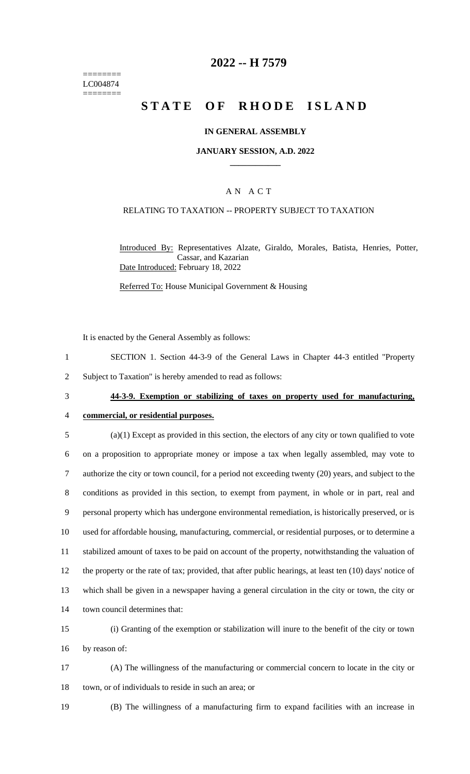======== LC004874 ========

## **2022 -- H 7579**

# **STATE OF RHODE ISLAND**

### **IN GENERAL ASSEMBLY**

#### **JANUARY SESSION, A.D. 2022 \_\_\_\_\_\_\_\_\_\_\_\_**

### A N A C T

### RELATING TO TAXATION -- PROPERTY SUBJECT TO TAXATION

Introduced By: Representatives Alzate, Giraldo, Morales, Batista, Henries, Potter, Cassar, and Kazarian Date Introduced: February 18, 2022

Referred To: House Municipal Government & Housing

It is enacted by the General Assembly as follows:

1 SECTION 1. Section 44-3-9 of the General Laws in Chapter 44-3 entitled "Property

2 Subject to Taxation" is hereby amended to read as follows:

## 3 **44-3-9. Exemption or stabilizing of taxes on property used for manufacturing,**

# 4 **commercial, or residential purposes.**

- 5 (a)(1) Except as provided in this section, the electors of any city or town qualified to vote 6 on a proposition to appropriate money or impose a tax when legally assembled, may vote to 7 authorize the city or town council, for a period not exceeding twenty (20) years, and subject to the 8 conditions as provided in this section, to exempt from payment, in whole or in part, real and 9 personal property which has undergone environmental remediation, is historically preserved, or is 10 used for affordable housing, manufacturing, commercial, or residential purposes, or to determine a 11 stabilized amount of taxes to be paid on account of the property, notwithstanding the valuation of 12 the property or the rate of tax; provided, that after public hearings, at least ten (10) days' notice of 13 which shall be given in a newspaper having a general circulation in the city or town, the city or 14 town council determines that:
- 15 (i) Granting of the exemption or stabilization will inure to the benefit of the city or town 16 by reason of:
- 17 (A) The willingness of the manufacturing or commercial concern to locate in the city or 18 town, or of individuals to reside in such an area; or
- 

19 (B) The willingness of a manufacturing firm to expand facilities with an increase in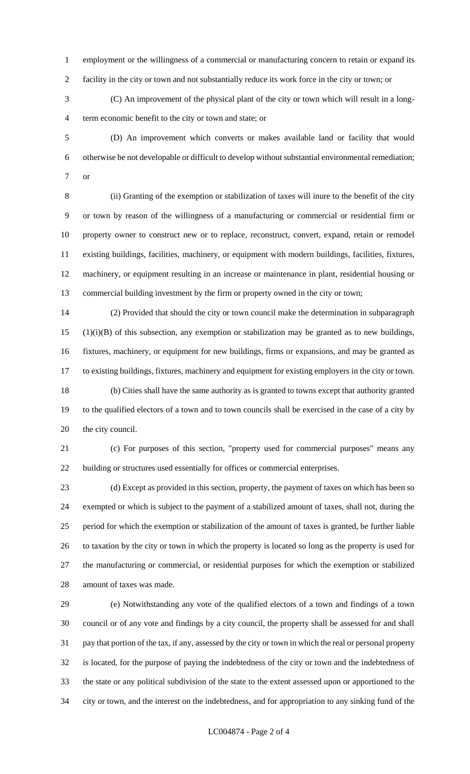employment or the willingness of a commercial or manufacturing concern to retain or expand its facility in the city or town and not substantially reduce its work force in the city or town; or

 (C) An improvement of the physical plant of the city or town which will result in a long-term economic benefit to the city or town and state; or

 (D) An improvement which converts or makes available land or facility that would otherwise be not developable or difficult to develop without substantial environmental remediation; or

 (ii) Granting of the exemption or stabilization of taxes will inure to the benefit of the city or town by reason of the willingness of a manufacturing or commercial or residential firm or property owner to construct new or to replace, reconstruct, convert, expand, retain or remodel existing buildings, facilities, machinery, or equipment with modern buildings, facilities, fixtures, machinery, or equipment resulting in an increase or maintenance in plant, residential housing or commercial building investment by the firm or property owned in the city or town;

 (2) Provided that should the city or town council make the determination in subparagraph (1)(i)(B) of this subsection, any exemption or stabilization may be granted as to new buildings, fixtures, machinery, or equipment for new buildings, firms or expansions, and may be granted as to existing buildings, fixtures, machinery and equipment for existing employers in the city or town. (b) Cities shall have the same authority as is granted to towns except that authority granted to the qualified electors of a town and to town councils shall be exercised in the case of a city by the city council.

 (c) For purposes of this section, "property used for commercial purposes" means any building or structures used essentially for offices or commercial enterprises.

 (d) Except as provided in this section, property, the payment of taxes on which has been so exempted or which is subject to the payment of a stabilized amount of taxes, shall not, during the period for which the exemption or stabilization of the amount of taxes is granted, be further liable to taxation by the city or town in which the property is located so long as the property is used for the manufacturing or commercial, or residential purposes for which the exemption or stabilized amount of taxes was made.

 (e) Notwithstanding any vote of the qualified electors of a town and findings of a town council or of any vote and findings by a city council, the property shall be assessed for and shall pay that portion of the tax, if any, assessed by the city or town in which the real or personal property is located, for the purpose of paying the indebtedness of the city or town and the indebtedness of the state or any political subdivision of the state to the extent assessed upon or apportioned to the city or town, and the interest on the indebtedness, and for appropriation to any sinking fund of the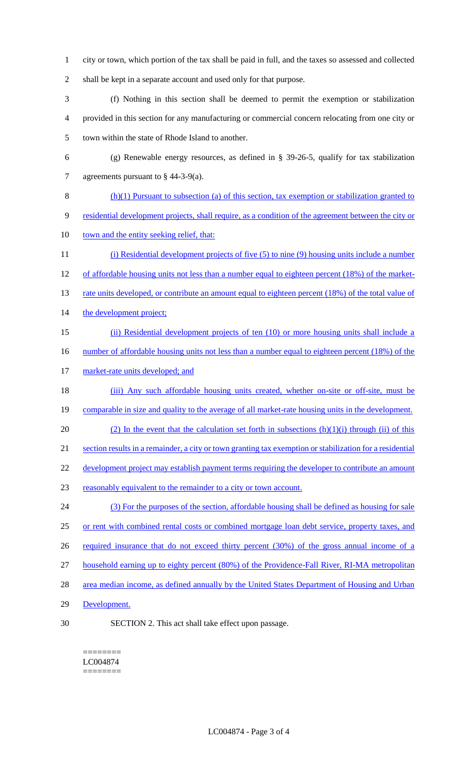- 1 city or town, which portion of the tax shall be paid in full, and the taxes so assessed and collected 2 shall be kept in a separate account and used only for that purpose.
- 3 (f) Nothing in this section shall be deemed to permit the exemption or stabilization 4 provided in this section for any manufacturing or commercial concern relocating from one city or 5 town within the state of Rhode Island to another.
- 6 (g) Renewable energy resources, as defined in § 39-26-5, qualify for tax stabilization 7 agreements pursuant to § 44-3-9(a).
- 8 (h)(1) Pursuant to subsection (a) of this section, tax exemption or stabilization granted to 9 residential development projects, shall require, as a condition of the agreement between the city or 10 town and the entity seeking relief, that: 11 (i) Residential development projects of five (5) to nine (9) housing units include a number
- 12 of affordable housing units not less than a number equal to eighteen percent (18%) of the market-13 rate units developed, or contribute an amount equal to eighteen percent (18%) of the total value of 14 the development project;
- 15 (ii) Residential development projects of ten (10) or more housing units shall include a 16 number of affordable housing units not less than a number equal to eighteen percent (18%) of the
- 17 market-rate units developed; and
- 18 (iii) Any such affordable housing units created, whether on-site or off-site, must be 19 comparable in size and quality to the average of all market-rate housing units in the development.
- 20 (2) In the event that the calculation set forth in subsections  $(h)(1)(i)$  through (ii) of this 21 section results in a remainder, a city or town granting tax exemption or stabilization for a residential
- 22 development project may establish payment terms requiring the developer to contribute an amount
- 
- 23 reasonably equivalent to the remainder to a city or town account.
- 24 (3) For the purposes of the section, affordable housing shall be defined as housing for sale 25 or rent with combined rental costs or combined mortgage loan debt service, property taxes, and 26 required insurance that do not exceed thirty percent (30%) of the gross annual income of a 27 household earning up to eighty percent (80%) of the Providence-Fall River, RI-MA metropolitan 28 area median income, as defined annually by the United States Department of Housing and Urban
- 29 Development.
- 
- 30 SECTION 2. This act shall take effect upon passage.

======== LC004874 ========